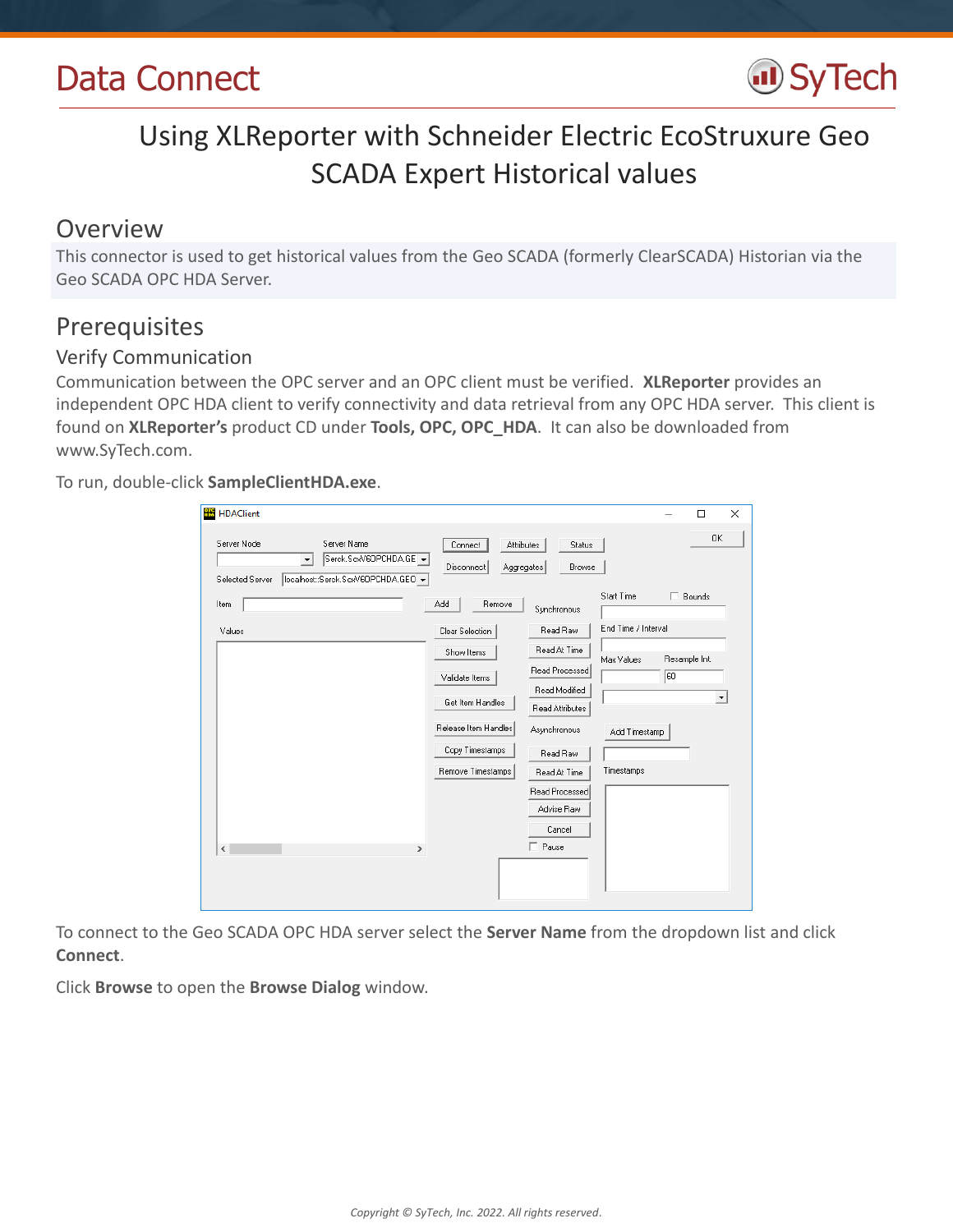

# Using XLReporter with Schneider Electric EcoStruxure Geo SCADA Expert Historical values

### Overview

This connector is used to get historical values from the Geo SCADA (formerly ClearSCADA) Historian via the Geo SCADA OPC HDA Server.

## Prerequisites

### Verify Communication

Communication between the OPC server and an OPC client must be verified. **XLReporter** provides an independent OPC HDA client to verify connectivity and data retrieval from any OPC HDA server. This client is found on **XLReporter's** product CD under **Tools, OPC, OPC\_HDA**. It can also be downloaded from www.SyTech.com.

To run, double-click **SampleClientHDA.exe**.

| <b>HB</b> HDAClient                                                                                                                   |                                                   |                                 |                     |               | X<br>$\Box$          |
|---------------------------------------------------------------------------------------------------------------------------------------|---------------------------------------------------|---------------------------------|---------------------|---------------|----------------------|
| Server Node<br>Server Name<br>Serck.ScxV6OPCHDA.GE -<br>$\blacktriangledown$<br>localhost::Serck.ScxV6OPCHDA.GEO -<br>Selected Server | Connect<br>Attributes<br>Disconnect<br>Aggregates | Status<br>Browse                |                     |               | <b>OK</b>            |
| Item                                                                                                                                  | Remove<br>Add                                     | Synchronous                     | <b>Start Time</b>   | $\Box$ Bounds |                      |
| Values                                                                                                                                | Clear Selection                                   | Read Raw                        | End Time / Interval |               |                      |
|                                                                                                                                       | Show Items                                        | Read At Time                    | Max Values          | Resample Int. |                      |
|                                                                                                                                       | Validate Items                                    | Read Processed<br>Read Modified |                     | 60            |                      |
|                                                                                                                                       | Get Item Handles                                  | Read Attributes                 |                     |               | $\blacktriangledown$ |
|                                                                                                                                       | Release Item Handles                              | Asynchronous                    | Add Timestamp       |               |                      |
|                                                                                                                                       | Copy Timestamps                                   | Read Raw                        |                     |               |                      |
|                                                                                                                                       | Remove Timestamps                                 | Read At Time                    | Timestamps          |               |                      |
|                                                                                                                                       |                                                   | Read Processed                  |                     |               |                      |
|                                                                                                                                       |                                                   | Advise Raw                      |                     |               |                      |
|                                                                                                                                       |                                                   | Cancel                          |                     |               |                      |
| $\,$<br>$\,<$                                                                                                                         |                                                   | $\Box$ Pause                    |                     |               |                      |
|                                                                                                                                       |                                                   |                                 |                     |               |                      |
|                                                                                                                                       |                                                   |                                 |                     |               |                      |

To connect to the Geo SCADA OPC HDA server select the **Server Name** from the dropdown list and click **Connect**.

Click **Browse** to open the **Browse Dialog** window.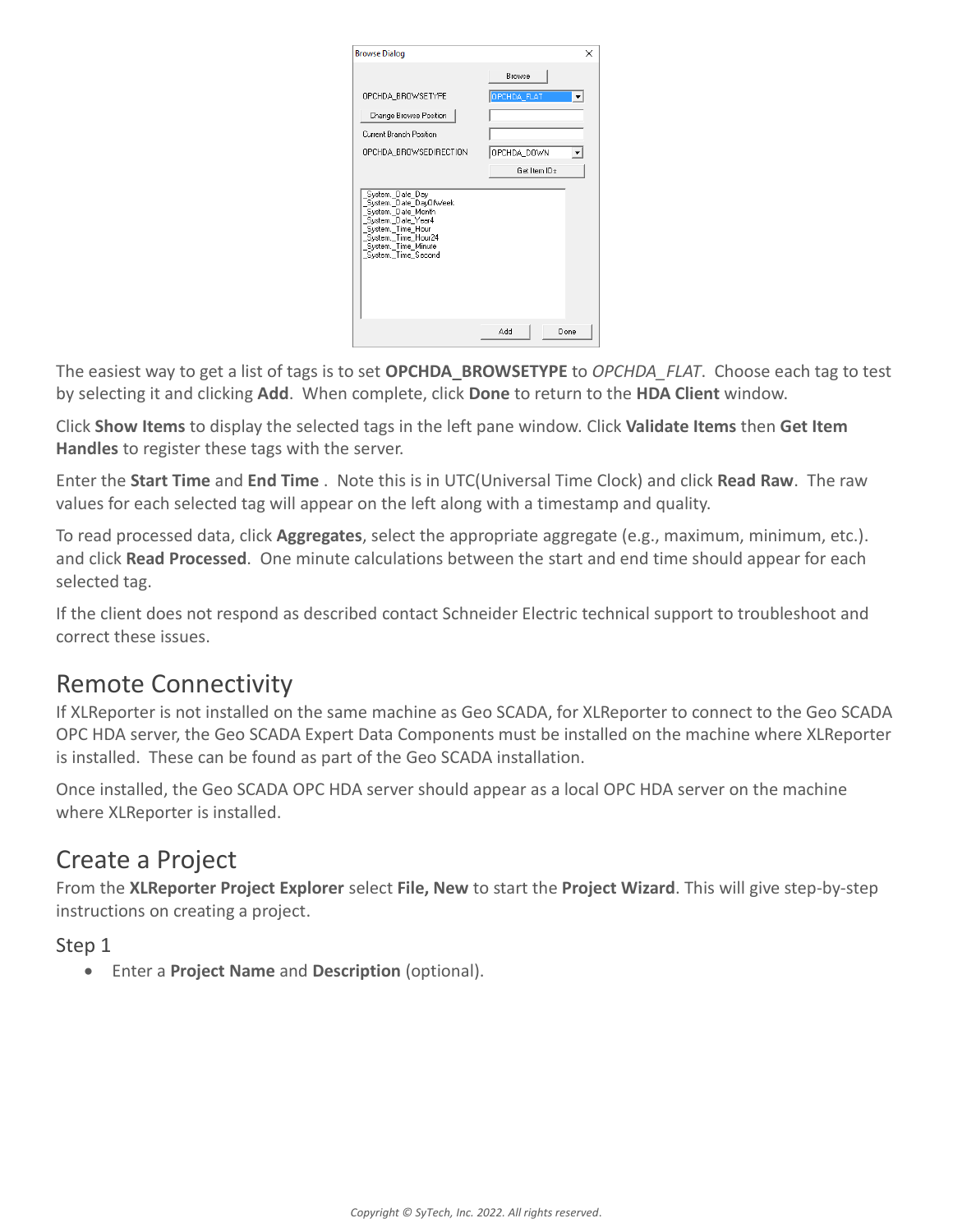| <b>Browse Dialog</b>                                                                                                                                                                                        | ×                  |
|-------------------------------------------------------------------------------------------------------------------------------------------------------------------------------------------------------------|--------------------|
|                                                                                                                                                                                                             | Browse             |
| OPCHDA BROWSETYPE                                                                                                                                                                                           | OPCHDA_FLAT        |
| Change Browse Position                                                                                                                                                                                      |                    |
| Current Branch Position                                                                                                                                                                                     |                    |
| OPCHDA_BROWSEDIRECTION                                                                                                                                                                                      | OPCHDA DOWN        |
|                                                                                                                                                                                                             | Get Item IDs       |
| System, Date Day<br>System._Date_DayOfWeek<br>System._Date_Month<br>System. Date Year4<br>System. Time Hour<br>_oystem.__rime_riour<br>_System._Time_Hour24<br>_System._Time_Minute<br>_System._Time_Second |                    |
|                                                                                                                                                                                                             | <b>Add</b><br>Done |

The easiest way to get a list of tags is to set **OPCHDA\_BROWSETYPE** to *OPCHDA\_FLAT*. Choose each tag to test by selecting it and clicking **Add**. When complete, click **Done** to return to the **HDA Client** window.

Click **Show Items** to display the selected tags in the left pane window. Click **Validate Items** then **Get Item Handles** to register these tags with the server.

Enter the **Start Time** and **End Time** . Note this is in UTC(Universal Time Clock) and click **Read Raw**. The raw values for each selected tag will appear on the left along with a timestamp and quality.

To read processed data, click **Aggregates**, select the appropriate aggregate (e.g., maximum, minimum, etc.). and click **Read Processed**. One minute calculations between the start and end time should appear for each selected tag.

If the client does not respond as described contact Schneider Electric technical support to troubleshoot and correct these issues.

## Remote Connectivity

If XLReporter is not installed on the same machine as Geo SCADA, for XLReporter to connect to the Geo SCADA OPC HDA server, the Geo SCADA Expert Data Components must be installed on the machine where XLReporter is installed. These can be found as part of the Geo SCADA installation.

Once installed, the Geo SCADA OPC HDA server should appear as a local OPC HDA server on the machine where XLReporter is installed.

## Create a Project

From the **XLReporter Project Explorer** select **File, New** to start the **Project Wizard**. This will give step-by-step instructions on creating a project.

#### Step 1

Enter a **Project Name** and **Description** (optional).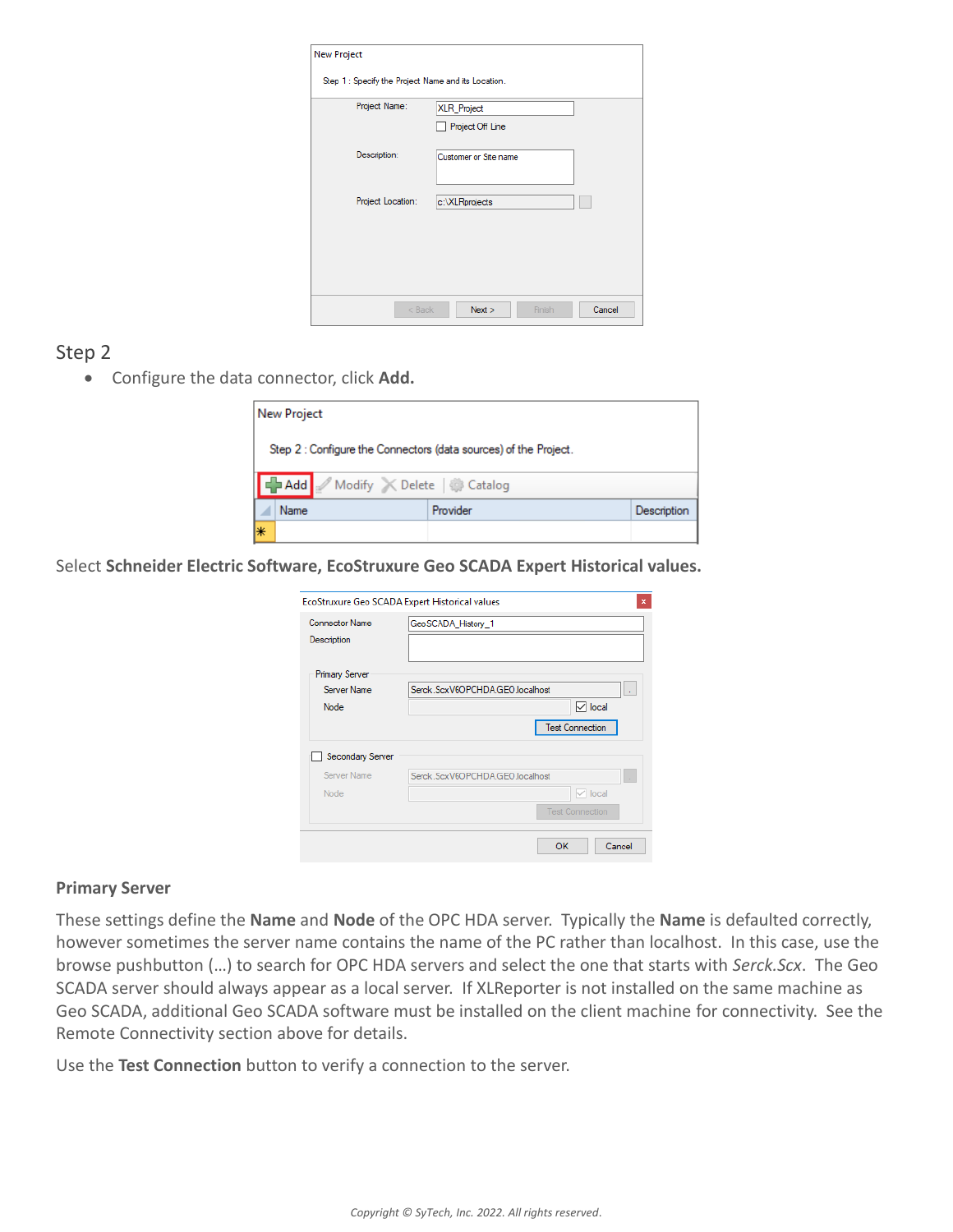| Project Name:     | XLR_Project           |
|-------------------|-----------------------|
|                   | Project Off Line      |
| Description:      | Customer or Site name |
|                   |                       |
| Project Location: | c:\XLRprojects        |
|                   |                       |
|                   |                       |

#### Step 2

Configure the data connector, click **Add.**

|                                                                  | <b>New Project</b> |          |             |  |  |
|------------------------------------------------------------------|--------------------|----------|-------------|--|--|
| Step 2 : Configure the Connectors (data sources) of the Project. |                    |          |             |  |  |
| Add Modify X Delete & Catalog                                    |                    |          |             |  |  |
|                                                                  | <b>Name</b>        | Provider | Description |  |  |
| ₩                                                                |                    |          |             |  |  |

Select **Schneider Electric Software, EcoStruxure Geo SCADA Expert Historical values.**

|                                      | EcoStruxure Geo SCADA Expert Historical values | ×      |
|--------------------------------------|------------------------------------------------|--------|
| <b>Connector Name</b><br>Description | GeoSCADA_History_1                             |        |
| <b>Primary Server</b>                |                                                |        |
| Server Name                          | Serck.ScxV6OPCHDA.GEO.localhost                | ÷.     |
| Node                                 | $\triangledown$ local                          |        |
|                                      | <b>Test Connection</b>                         |        |
| Secondary Server                     |                                                |        |
| Server Name                          | Serck.ScxV6OPCHDA.GEO.localhost                |        |
| Node                                 | $\vee$ local                                   |        |
|                                      | <b>Test Connection</b>                         |        |
|                                      | ок                                             | Cancel |

#### **Primary Server**

These settings define the **Name** and **Node** of the OPC HDA server. Typically the **Name** is defaulted correctly, however sometimes the server name contains the name of the PC rather than localhost. In this case, use the browse pushbutton (…) to search for OPC HDA servers and select the one that starts with *Serck.Scx*. The Geo SCADA server should always appear as a local server. If XLReporter is not installed on the same machine as Geo SCADA, additional Geo SCADA software must be installed on the client machine for connectivity. See the Remote Connectivity section above for details.

Use the **Test Connection** button to verify a connection to the server.